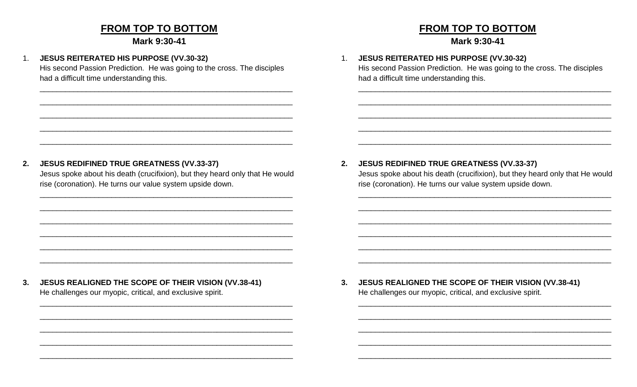## **FROM TOP TO BOTTOM**

Mark 9:30-41

**JESUS REITERATED HIS PURPOSE (VV.30-32)**  $\mathbf{1}$ 

His second Passion Prediction. He was going to the cross. The disciples had a difficult time understanding this.

### **FROM TOP TO BOTTOM**

### Mark 9:30-41

1. JESUS REITERATED HIS PURPOSE (VV.30-32)

His second Passion Prediction. He was going to the cross. The disciples had a difficult time understanding this.

#### **JESUS REDIFINED TRUE GREATNESS (VV.33-37)**  $2.$

Jesus spoke about his death (crucifixion), but they heard only that He would rise (coronation). He turns our value system upside down.

**JESUS REDIFINED TRUE GREATNESS (VV.33-37)**  $2.$ Jesus spoke about his death (crucifixion), but they heard only that He would rise (coronation). He turns our value system upside down.

**JESUS REALIGNED THE SCOPE OF THEIR VISION (VV.38-41)**  $3<sub>1</sub>$ He challenges our myopic, critical, and exclusive spirit.

JESUS REALIGNED THE SCOPE OF THEIR VISION (VV.38-41)  $3.$ He challenges our myopic, critical, and exclusive spirit.